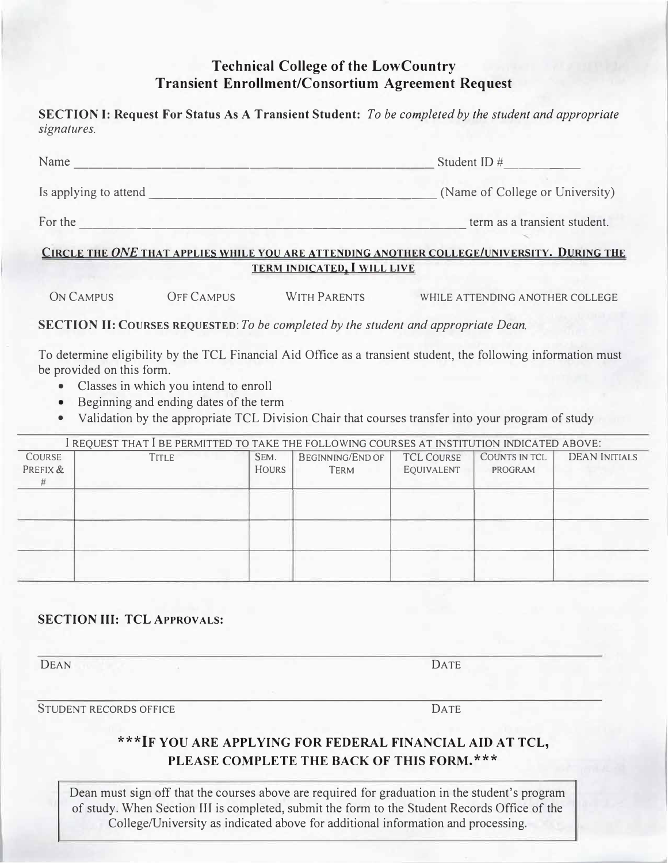# **Technical College of the LowCountry Transient Enrollment/Consortium Agreement Request**

**SECTION I: Request For Status As A Transient Student:** *To be completed by the student and appropriate signatures.* 

| Name                  | Student ID $#$                  |
|-----------------------|---------------------------------|
| Is applying to attend | (Name of College or University) |
| For the               | term as a transient student.    |

### **CIRCLE THE** *ONE* **THAT APPLIES WHILE YOU ARE ATTENDING ANOTHER COLLEGE/UNIVERSITY. DURING THE TERM INDICATED. I WILL LIVE**

ON CAMPUS OFF CAMPUS WITH PARENTS WHILE ATTENDING ANOTHER COLLEGE

**SECTION II: COURSES REQUESTED:** *To be completed by the student and appropriate Dean.* 

To determine eligibility by the TCL Financial Aid Office as a transient student, the following information must be provided on this form.

- Classes in which you intend to enroll
- Beginning and ending dates of the term
- Validation by the appropriate TCL Division Chair that courses transfer into your program of study

| I REQUEST THAT I BE PERMITTED TO TAKE THE FOLLOWING COURSES AT INSTITUTION INDICATED ABOVE: |       |                      |                                 |                                 |                          |                      |  |
|---------------------------------------------------------------------------------------------|-------|----------------------|---------------------------------|---------------------------------|--------------------------|----------------------|--|
| <b>COURSE</b><br>PREFIX &<br>#                                                              | TITLE | SEM.<br><b>HOURS</b> | BEGINNING/END OF<br><b>TERM</b> | <b>TCL COURSE</b><br>EQUIVALENT | COUNTS IN TCL<br>PROGRAM | <b>DEAN INITIALS</b> |  |
|                                                                                             |       |                      |                                 |                                 |                          |                      |  |
|                                                                                             |       |                      |                                 |                                 |                          |                      |  |
|                                                                                             |       |                      |                                 |                                 |                          |                      |  |

### **SECTION III: TCL APPROVALS:**

DEAN DATE

STUDENT RECORDS OFFICE **EXECUTER DATE** 

## **\*\*\*IF YOU ARE APPLYING FOR FEDERAL FINANCIAL AID AT TCL, PLEASE COMPLETE THE BACK OF THIS FORM.\*\*\***

Dean must sign off that the courses above are required for graduation in the student's program of study. When Section III is completed, submit the form to the Student Records Office of the College/University as indicated above for additional information and processing.